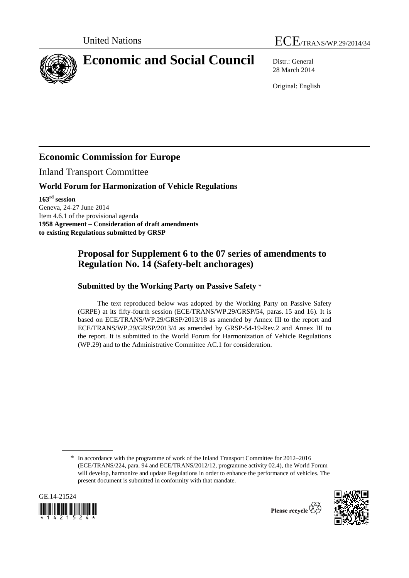



# **Economic and Social Council** Distr.: General

28 March 2014

Original: English

## **Economic Commission for Europe**

Inland Transport Committee

#### **World Forum for Harmonization of Vehicle Regulations**

**163rd session**  Geneva, 24-27 June 2014 Item 4.6.1 of the provisional agenda **1958 Agreement – Consideration of draft amendments to existing Regulations submitted by GRSP** 

### **Proposal for Supplement 6 to the 07 series of amendments to Regulation No. 14 (Safety-belt anchorages)**

#### **Submitted by the Working Party on Passive Safety** \*

The text reproduced below was adopted by the Working Party on Passive Safety (GRPE) at its fifty-fourth session (ECE/TRANS/WP.29/GRSP/54, paras. 15 and 16). It is based on ECE/TRANS/WP.29/GRSP/2013/18 as amended by Annex III to the report and ECE/TRANS/WP.29/GRSP/2013/4 as amended by GRSP-54-19-Rev.2 and Annex III to the report. It is submitted to the World Forum for Harmonization of Vehicle Regulations (WP.29) and to the Administrative Committee AC.1 for consideration.

<sup>\*</sup> In accordance with the programme of work of the Inland Transport Committee for 2012–2016 (ECE/TRANS/224, para. 94 and ECE/TRANS/2012/12, programme activity 02.4), the World Forum will develop, harmonize and update Regulations in order to enhance the performance of vehicles. The present document is submitted in conformity with that mandate.